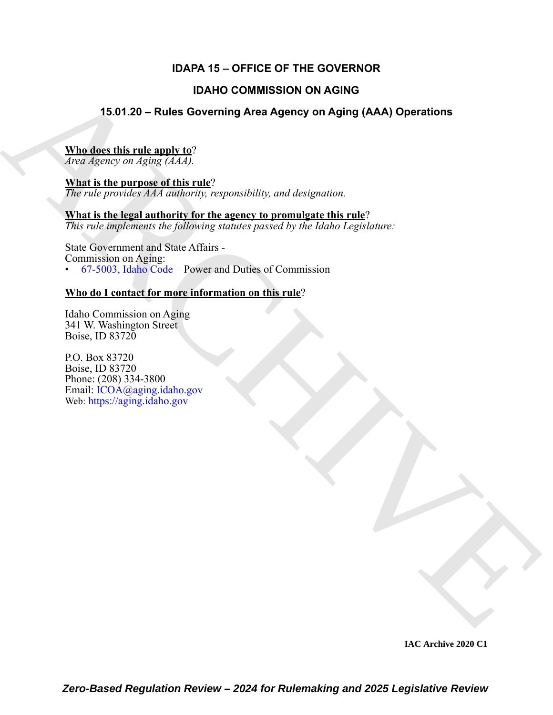# **IDAPA 15 – OFFICE OF THE GOVERNOR**

# **IDAHO COMMISSION ON AGING**

# **15.01.20 – Rules Governing Area Agency on Aging (AAA) Operations**

### **Who does this rule apply to**?

*Area Agency on Aging (AAA).*

**What is the purpose of this rule**? *The rule provides AAA authority, responsibility, and designation.*

**What is the legal authority for the agency to promulgate this rule**? *This rule implements the following statutes passed by the Idaho Legislature:*

IDAHO COMMISSION ON AGING<br>
15.01.20 – Rules Governing Area Agency on Aging (AAA) Operations<br>  $\frac{\text{Wna of the of this magnitude}}{\text{Area 26/20(3) of a 3/20(4.7)}}$ <br>  $\frac{\text{Wna of the Minkian level}}{\text{Area 26/20(3) of a 3/20(4.7)}}$ <br>  $\frac{\text{Wna of the Minkian level}}{\text{Area 26/20}}$ <br>  $\frac{\text{Wna of the Minkian level$ State Government and State Affairs - Commission on Aging: • 67-5003, Idaho Code – Power and Duties of Commission

# **Who do I contact for more information on this rule**?

Idaho Commission on Aging 341 W. Washington Street Boise, ID 83720

P.O. Box 83720 Boise, ID 83720 Phone: (208) 334-3800 Email: ICOA@aging.idaho.gov Web: https://aging.idaho.gov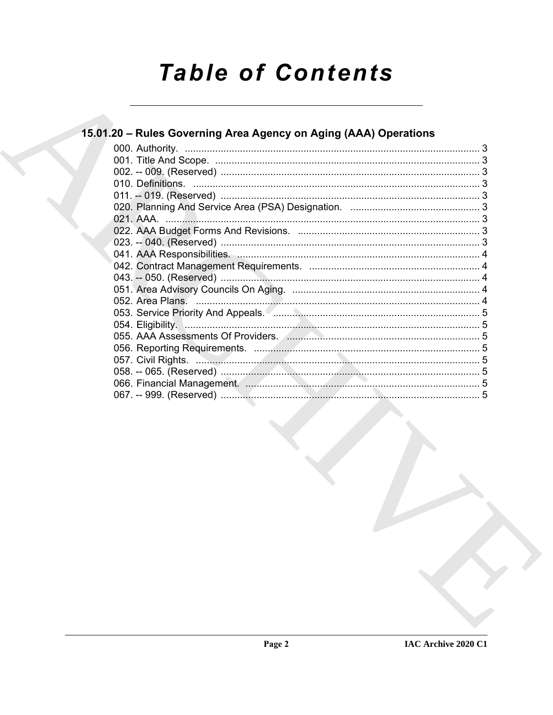# **Table of Contents**

# 15.01.20 - Rules Governing Area Agency on Aging (AAA) Operations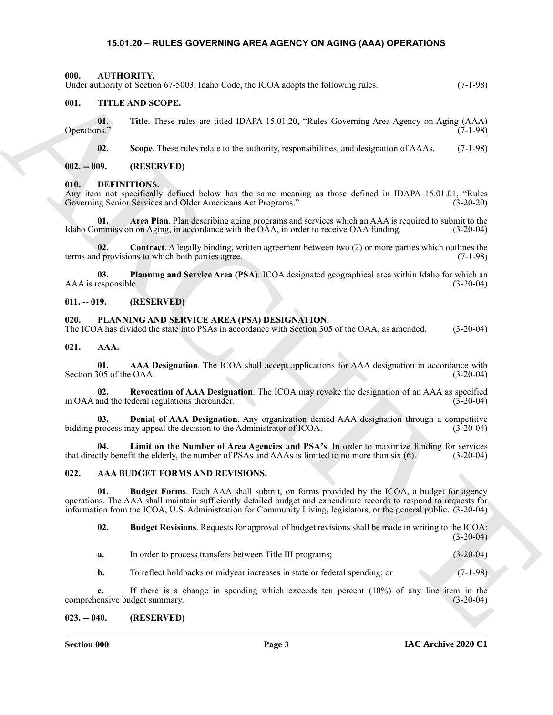#### <span id="page-2-18"></span>**15.01.20 – RULES GOVERNING AREA AGENCY ON AGING (AAA) OPERATIONS**

<span id="page-2-1"></span><span id="page-2-0"></span>**000. AUTHORITY.** Under authority of Section 67-5003, Idaho Code, the ICOA adopts the following rules. (7-1-98)

#### <span id="page-2-24"></span><span id="page-2-2"></span>**001. TITLE AND SCOPE.**

**01.** Title. These rules are titled IDAPA 15.01.20, "Rules Governing Area Agency on Aging (AAA) Operations." Operations." (7-1-98)

<span id="page-2-19"></span>**02. Scope**. These rules relate to the authority, responsibilities, and designation of AAAs. (7-1-98)

<span id="page-2-3"></span>**002. -- 009. (RESERVED)**

#### <span id="page-2-4"></span>**010. DEFINITIONS.**

Any item not specifically defined below has the same meaning as those defined in IDAPA 15.01.01, "Rules Governing Senior Services and Older Americans Act Programs." (3-20-20)

<span id="page-2-20"></span>**01. Area Plan**. Plan describing aging programs and services which an AAA is required to submit to the Idaho Commission on Aging, in accordance with the OAA, in order to receive OAA funding. (3-20-04)

<span id="page-2-21"></span>**02. Contract**. A legally binding, written agreement between two (2) or more parties which outlines the terms and provisions to which both parties agree. (7-1-98)

<span id="page-2-22"></span>**03. Planning and Service Area (PSA)**. ICOA designated geographical area within Idaho for which an AAA is responsible.

#### <span id="page-2-5"></span>**011. -- 019. (RESERVED)**

#### <span id="page-2-23"></span><span id="page-2-6"></span>**020. PLANNING AND SERVICE AREA (PSA) DESIGNATION.**

The ICOA has divided the state into PSAs in accordance with Section 305 of the OAA, as amended. (3-20-04)

<span id="page-2-10"></span><span id="page-2-7"></span>**021. AAA.**

<span id="page-2-11"></span>**01. AAA Designation**. The ICOA shall accept applications for AAA designation in accordance with Section 305 of the OAA.  $(3-20-04)$ 

<span id="page-2-14"></span>**02.** Revocation of AAA Designation. The ICOA may revoke the designation of an AAA as specified and the federal regulations thereunder. (3-20-04) in OAA and the federal regulations thereunder.

<span id="page-2-12"></span>**03. Denial of AAA Designation**. Any organization denied AAA designation through a competitive bidding process may appeal the decision to the Administrator of ICOA. (3-20-04)

<span id="page-2-13"></span>**04.** Limit on the Number of Area Agencies and PSA's. In order to maximize funding for services tly benefit the elderly, the number of PSAs and AAAs is limited to no more than six (6). (3-20-04) that directly benefit the elderly, the number of PSAs and AAAs is limited to no more than six (6).

#### <span id="page-2-15"></span><span id="page-2-8"></span>**022. AAA BUDGET FORMS AND REVISIONS.**

Using reduces of Scotters Follows the BCM and Color, the LCM and point to follow any entity of the Scotter of the Scotter of the Scotter of the Scotter of the Scotter of the Scotter of the Scotter of the Scotter of the Sc **01. Budget Forms**. Each AAA shall submit, on forms provided by the ICOA, a budget for agency operations. The AAA shall maintain sufficiently detailed budget and expenditure records to respond to requests for information from the ICOA, U.S. Administration for Community Living, legislators, or the general public. (3-20-04)

<span id="page-2-17"></span><span id="page-2-16"></span>**02. Budget Revisions**. Requests for approval of budget revisions shall be made in writing to the ICOA:  $(3-20-04)$ 

| a. | In order to process transfers between Title III programs; | $(3-20-04)$ |
|----|-----------------------------------------------------------|-------------|
|    |                                                           |             |

**b.** To reflect holdbacks or midyear increases in state or federal spending; or (7-1-98)

**c.** If there is a change in spending which exceeds ten percent (10%) of any line item in the comprehensive budget summary. (3-20-04)

#### <span id="page-2-9"></span>**023. -- 040. (RESERVED)**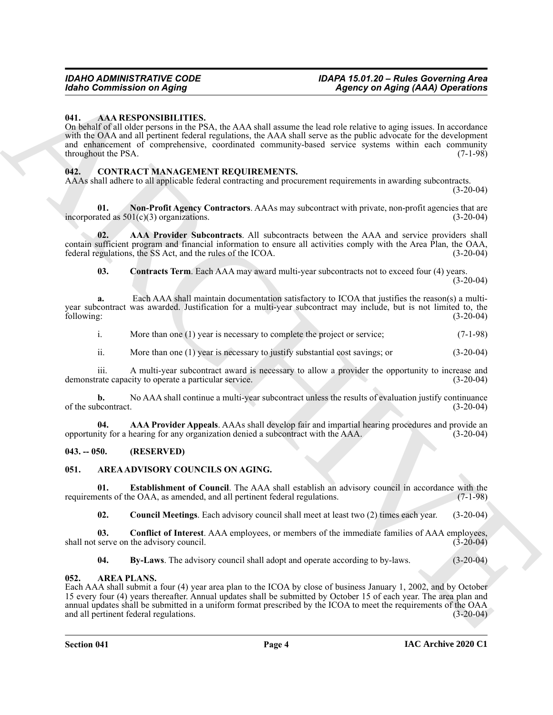#### <span id="page-3-5"></span><span id="page-3-0"></span>**041. AAA RESPONSIBILITIES.**

Mohio Commutation on Aging<br>
16. AAA RESPONSIBILITIES.<br>
16. AAA RESPONSIBILITIES: The AS A dial state of the African Advise to a given of the action of the China Commutation<br>
on Figure 1. AA RESPONSIBILITY (CONTROL) CONTR On behalf of all older persons in the PSA, the AAA shall assume the lead role relative to aging issues. In accordance with the OAA and all pertinent federal regulations, the AAA shall serve as the public advocate for the development and enhancement of comprehensive, coordinated community-based service systems within each community throughout the PSA.  $(7-1-98)$ 

#### <span id="page-3-12"></span><span id="page-3-1"></span>**042. CONTRACT MANAGEMENT REQUIREMENTS.**

AAAs shall adhere to all applicable federal contracting and procurement requirements in awarding subcontracts. (3-20-04)

<span id="page-3-16"></span>**01.** Non-Profit Agency Contractors. AAAs may subcontract with private, non-profit agencies that are ated as 501(c)(3) organizations. incorporated as  $501(c)(3)$  organizations.

**02. AAA Provider Subcontracts**. All subcontracts between the AAA and service providers shall contain sufficient program and financial information to ensure all activities comply with the Area Plan, the OAA, federal regulations, the SS Act, and the rules of the ICOA. (3-20-04) federal regulations, the SS Act, and the rules of the ICOA.

<span id="page-3-15"></span><span id="page-3-14"></span>**03. Contracts Term**. Each AAA may award multi-year subcontracts not to exceed four (4) years.  $(3-20-04)$ 

**a.** Each AAA shall maintain documentation satisfactory to ICOA that justifies the reason(s) a multiyear subcontract was awarded. Justification for a multi-year subcontract may include, but is not limited to, the following: (3-20-04)

i. More than one (1) year is necessary to complete the project or service; (7-1-98)

ii. More than one (1) year is necessary to justify substantial cost savings; or (3-20-04)

iii. A multi-year subcontract award is necessary to allow a provider the opportunity to increase and rate capacity to operate a particular service. (3-20-04) demonstrate capacity to operate a particular service.

**b.** No AAA shall continue a multi-year subcontract unless the results of evaluation justify continuance of the subcontract. (3-20-04)

<span id="page-3-13"></span>**04. AAA Provider Appeals**. AAAs shall develop fair and impartial hearing procedures and provide an ity for a hearing for any organization denied a subcontract with the AAA. (3-20-04) opportunity for a hearing for any organization denied a subcontract with the AAA. (3-20-04)

#### <span id="page-3-2"></span>**043. -- 050. (RESERVED)**

#### <span id="page-3-6"></span><span id="page-3-3"></span>**051. AREA ADVISORY COUNCILS ON AGING.**

**01. Establishment of Council**. The AAA shall establish an advisory council in accordance with the lents of the OAA, as amended, and all pertinent federal regulations. (7-1-98) requirements of the OAA, as amended, and all pertinent federal regulations.

<span id="page-3-10"></span><span id="page-3-9"></span><span id="page-3-8"></span>**02. Council Meetings**. Each advisory council shall meet at least two (2) times each year. (3-20-04)

**03. Conflict of Interest**. AAA employees, or members of the immediate families of AAA employees, serve on the advisory council. (3-20-04) shall not serve on the advisory council.

<span id="page-3-11"></span><span id="page-3-7"></span>**04. By-Laws**. The advisory council shall adopt and operate according to by-laws. (3-20-04)

#### <span id="page-3-4"></span>**052. AREA PLANS.**

Each AAA shall submit a four (4) year area plan to the ICOA by close of business January 1, 2002, and by October 15 every four (4) years thereafter. Annual updates shall be submitted by October 15 of each year. The area plan and annual updates shall be submitted in a uniform format prescribed by the ICOA to meet the requirements of the OAA and all pertinent federal regulations. (3-20-04) (3-20-04)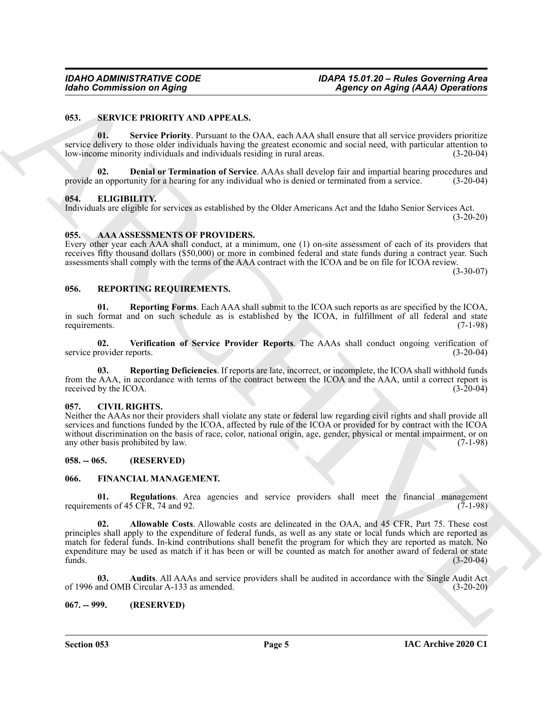#### <span id="page-4-19"></span><span id="page-4-0"></span>**053. SERVICE PRIORITY AND APPEALS.**

<span id="page-4-21"></span>**01. Service Priority**. Pursuant to the OAA, each AAA shall ensure that all service providers prioritize service delivery to those older individuals having the greatest economic and social need, with particular attention to low-income minority individuals and individuals residing in rural areas. (3-20-04)

<span id="page-4-20"></span>**02. Denial or Termination of Service**. AAAs shall develop fair and impartial hearing procedures and provide an opportunity for a hearing for any individual who is denied or terminated from a service. (3-20-04)

#### <span id="page-4-10"></span><span id="page-4-1"></span>**054. ELIGIBILITY.**

Individuals are eligible for services as established by the Older Americans Act and the Idaho Senior Services Act. (3-20-20)

#### <span id="page-4-8"></span><span id="page-4-2"></span>**055. AAA ASSESSMENTS OF PROVIDERS.**

Every other year each AAA shall conduct, at a minimum, one (1) on-site assessment of each of its providers that receives fifty thousand dollars (\$50,000) or more in combined federal and state funds during a contract year. Such assessments shall comply with the terms of the AAA contract with the ICOA and be on file for ICOA review.

(3-30-07)

#### <span id="page-4-15"></span><span id="page-4-3"></span>**056. REPORTING REQUIREMENTS.**

<span id="page-4-17"></span>**01. Reporting Forms**. Each AAA shall submit to the ICOA such reports as are specified by the ICOA, in such format and on such schedule as is established by the ICOA, in fulfillment of all federal and state requirements. (7-1-98)

<span id="page-4-18"></span>**02. Verification of Service Provider Reports**. The AAAs shall conduct ongoing verification of service provider reports. (3-20-04)

<span id="page-4-16"></span>**03. Reporting Deficiencies**. If reports are late, incorrect, or incomplete, the ICOA shall withhold funds from the AAA, in accordance with terms of the contract between the ICOA and the AAA, until a correct report is received by the ICOA. (3-20-04) received by the ICOA.

#### <span id="page-4-9"></span><span id="page-4-4"></span>**057. CIVIL RIGHTS.**

Neither the AAAs nor their providers shall violate any state or federal law regarding civil rights and shall provide all services and functions funded by the ICOA, affected by rule of the ICOA or provided for by contract with the ICOA without discrimination on the basis of race, color, national origin, age, gender, physical or mental impairment, or on any other basis prohibited by law. (7-1-98)

#### <span id="page-4-5"></span>**058. -- 065. (RESERVED)**

#### <span id="page-4-11"></span><span id="page-4-6"></span>**066. FINANCIAL MANAGEMENT.**

<span id="page-4-14"></span><span id="page-4-12"></span>**01.** Regulations. Area agencies and service providers shall meet the financial management lents of 45 CFR, 74 and 92. requirements of 45 CFR, 74 and 92.

**Example Commutation on Aging**<br>
49.3. SURVECE **FRIODULAR CONTINUES**<br>
19.3. SURVECE **FRIODULAR CONTINUES**<br>
19.3. SURVECE **FRIODULAR CONTINUES**<br>
19.3. The Second of the Example of OAA reached Archive and Second Continues t **02. Allowable Costs**. Allowable costs are delineated in the OAA, and 45 CFR, Part 75. These cost principles shall apply to the expenditure of federal funds, as well as any state or local funds which are reported as match for federal funds. In-kind contributions shall benefit the program for which they are reported as match. No expenditure may be used as match if it has been or will be counted as match for another award of federal or state funds. (3-20-04)

<span id="page-4-13"></span>**03. Audits**. All AAAs and service providers shall be audited in accordance with the Single Audit Act and OMB Circular A-133 as amended. (3-20-20) of 1996 and OMB Circular A-133 as amended.

#### <span id="page-4-7"></span>**067. -- 999. (RESERVED)**

**Section 053 Page 5**